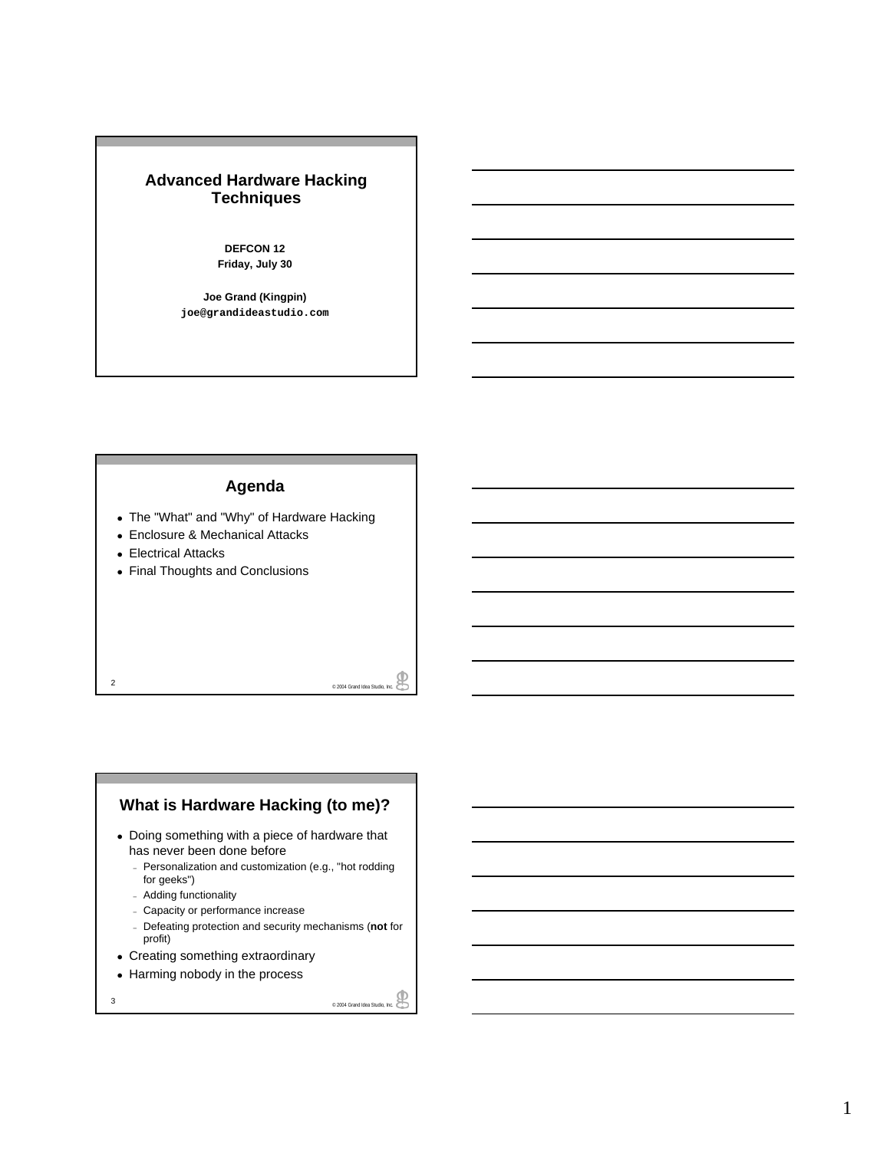### **Advanced Hardware Hacking Techniques**

**DEFCON 12 Friday, July 30**

**Joe Grand (Kingpin) joe@grandideastudio.com**

#### **Agenda**

- The "What" and "Why" of Hardware Hacking
- Enclosure & Mechanical Attacks
- Electrical Attacks
- Final Thoughts and Conclusions

# **What is Hardware Hacking (to me)?**

e 2004 Grand Idea Studio, Inc.

- Doing something with a piece of hardware that has never been done before
	- Personalization and customization (e.g., "hot rodding for geeks")
	- Adding functionality
	- Capacity or performance increase
	- Defeating protection and security mechanisms (**not** for profit)
- Creating something extraordinary
- Harming nobody in the process
-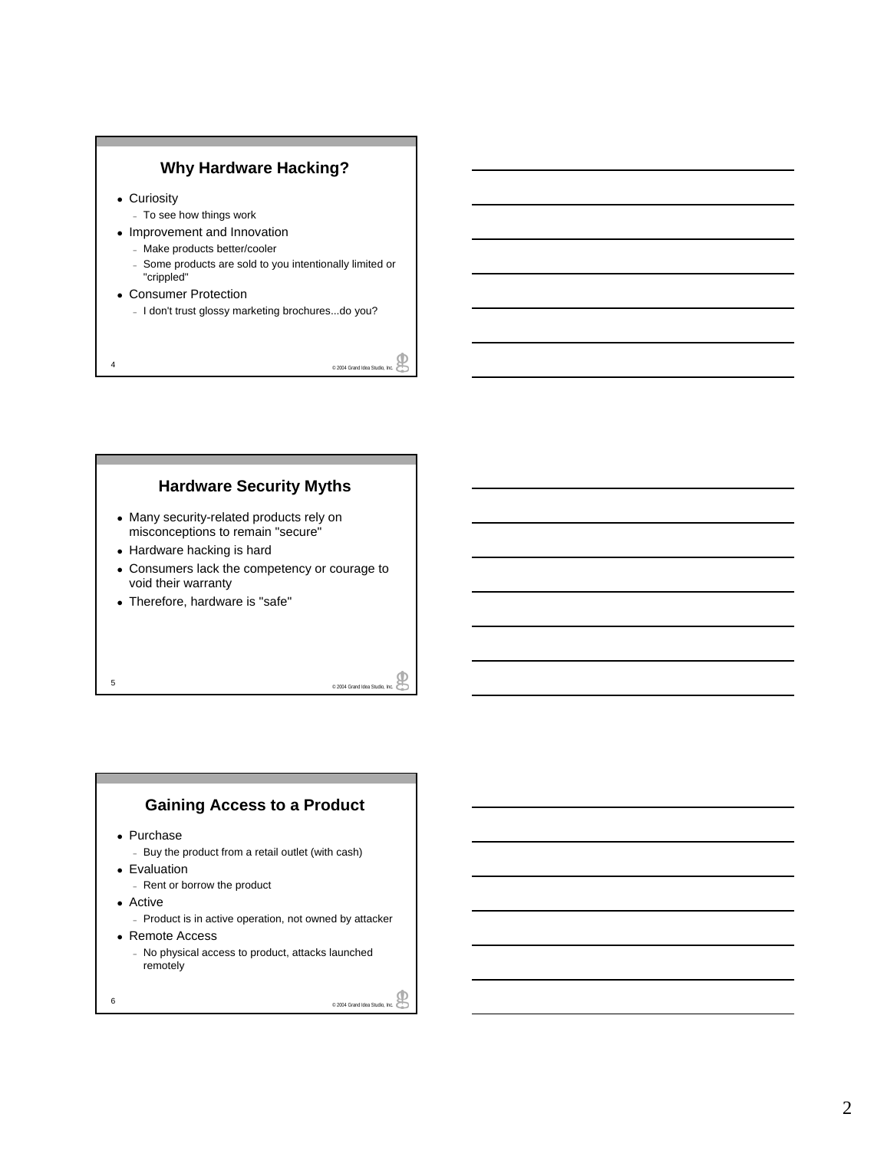

- Curiosity
	- To see how things work
- Improvement and Innovation
	- Make products better/cooler
	- Some products are sold to you intentionally limited or "crippled"
- Consumer Protection
	- I don't trust glossy marketing brochures...do you?

4  $^{\circ}$  2004 Grand Idea Studio, Inc.

### **Hardware Security Myths**

- Many security-related products rely on misconceptions to remain "secure"
- Hardware hacking is hard
- Consumers lack the competency or courage to void their warranty
- Therefore, hardware is "safe"

 $\overline{5}$   $\overline{2004}$  Grand Idea Studio, Inc.

### **Gaining Access to a Product**

- Purchase
	- Buy the product from a retail outlet (with cash)
- Evaluation
	- Rent or borrow the product
- Active
	- Product is in active operation, not owned by attacker
- Remote Access
	- No physical access to product, attacks launched remotely
-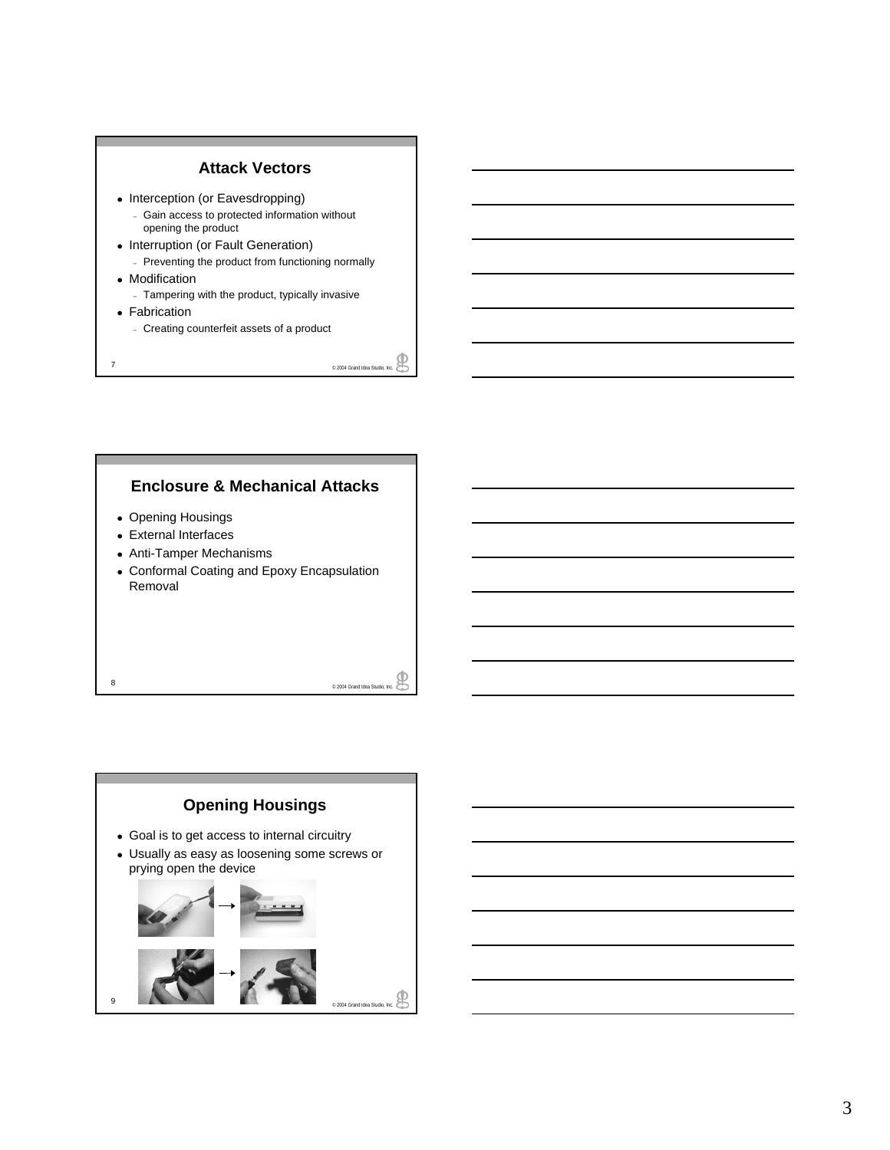

### **Enclosure & Mechanical Attacks**

- Opening Housings
- External Interfaces
- Anti-Tamper Mechanisms
- Conformal Coating and Epoxy Encapsulation Removal

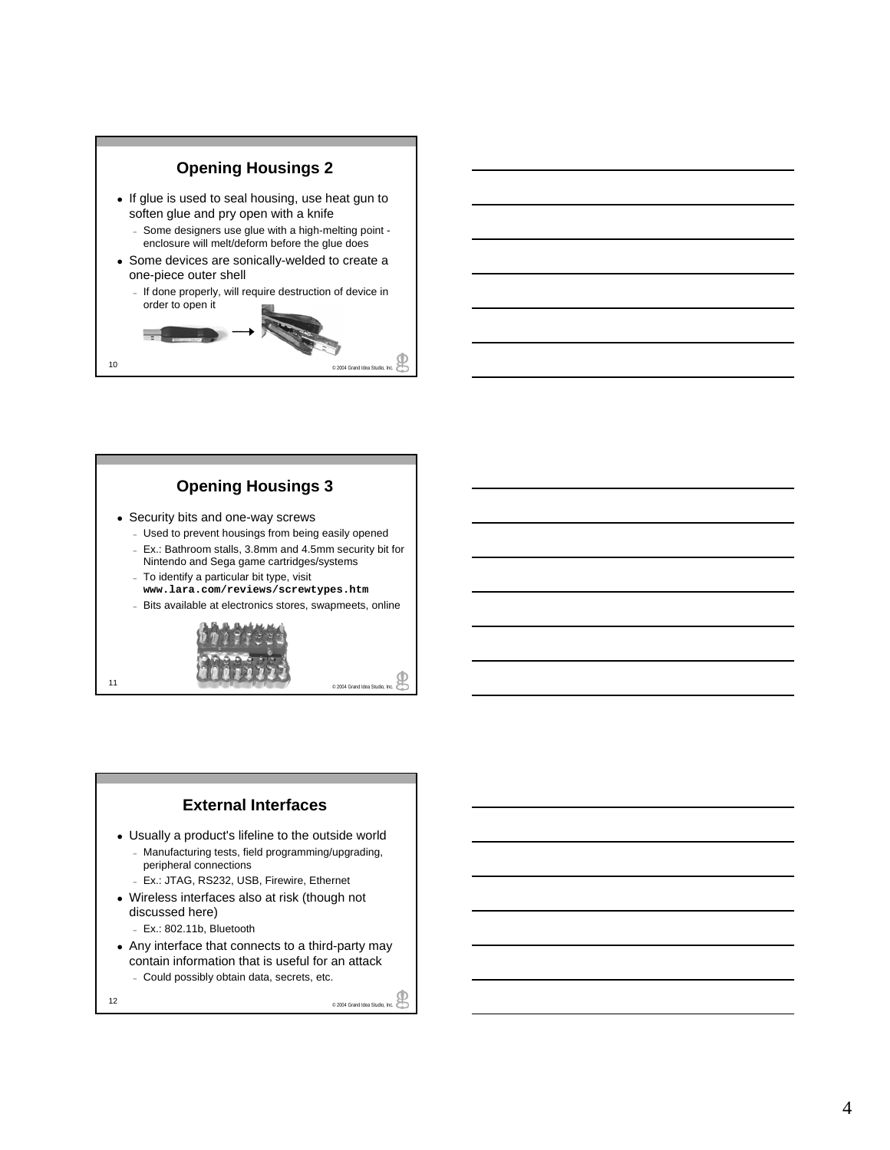

### **Opening Housings 3**

- Security bits and one-way screws
	- Used to prevent housings from being easily opened – Ex.: Bathroom stalls, 3.8mm and 4.5mm security bit for Nintendo and Sega game cartridges/systems
	- To identify a particular bit type, visit **www.lara.com/reviews/screwtypes.htm**
	- Bits available at electronics stores, swapmeets, online



#### **External Interfaces** • Usually a product's lifeline to the outside world – Manufacturing tests, field programming/upgrading, peripheral connections – Ex.: JTAG, RS232, USB, Firewire, Ethernet • Wireless interfaces also at risk (though not discussed here) – Ex.: 802.11b, Bluetooth

• Any interface that connects to a third-party may contain information that is useful for an attack – Could possibly obtain data, secrets, etc.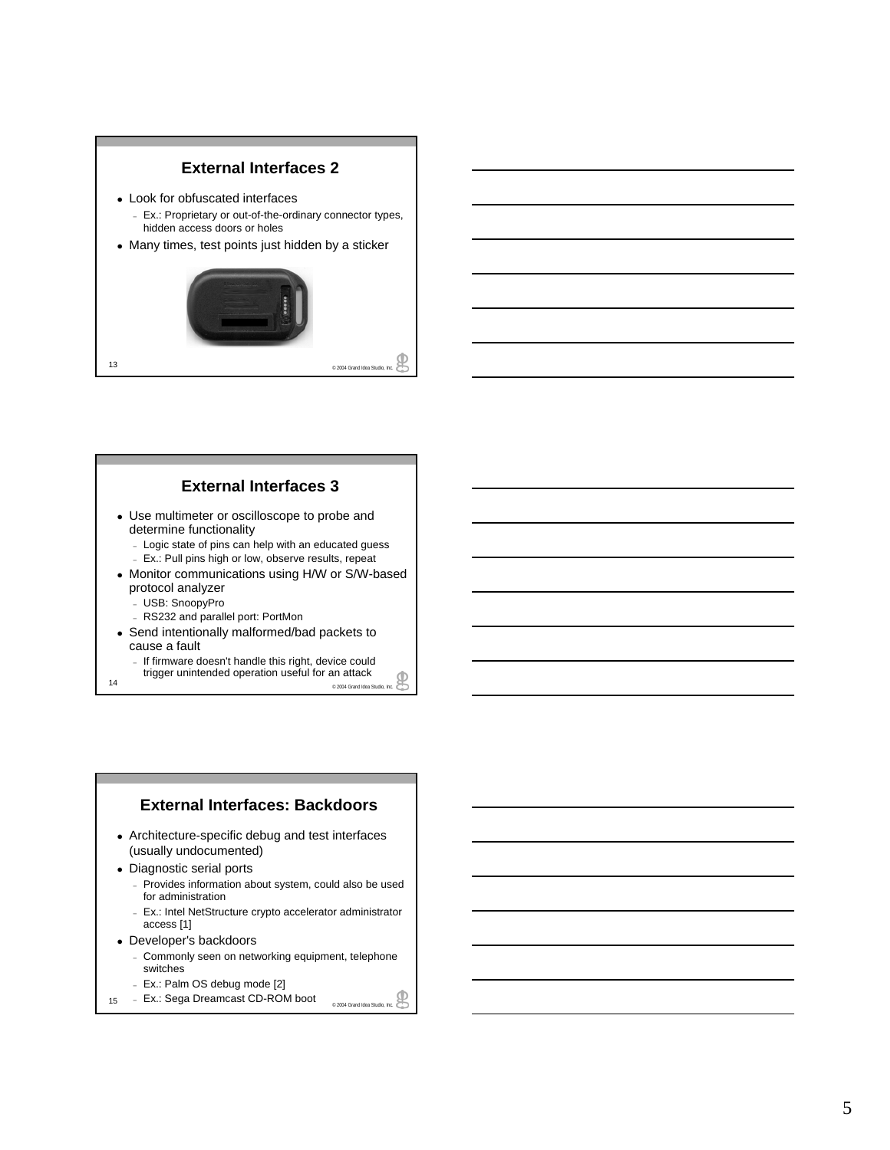### **External Interfaces 2**

- Look for obfuscated interfaces
	- Ex.: Proprietary or out-of-the-ordinary connector types, hidden access doors or holes
- Many times, test points just hidden by a sticker



#### **External Interfaces 3**

- Use multimeter or oscilloscope to probe and determine functionality
	- Logic state of pins can help with an educated guess
	- Ex.: Pull pins high or low, observe results, repeat
- Monitor communications using H/W or S/W-based protocol analyzer
	- USB: SnoopyPro
	- RS232 and parallel port: PortMon
- Send intentionally malformed/bad packets to cause a fault
	- If firmware doesn't handle this right, device could trigger unintended operation useful for an attack
- ww.ggor.com.noriusu.org/enation.useful IOI all allaCK.<br>2004 Grand Idea Studio, Inc.

# **External Interfaces: Backdoors** • Architecture-specific debug and test interfaces

- (usually undocumented)
- Diagnostic serial ports
	- Provides information about system, could also be used for administration
	- Ex.: Intel NetStructure crypto accelerator administrator access [1]
- Developer's backdoors
	- Commonly seen on networking equipment, telephone switches
	- Ex.: Palm OS debug mode [2]
- 15 Ex.: Sega Dreamcast CD-ROM boot **produce a Studio, Inc.**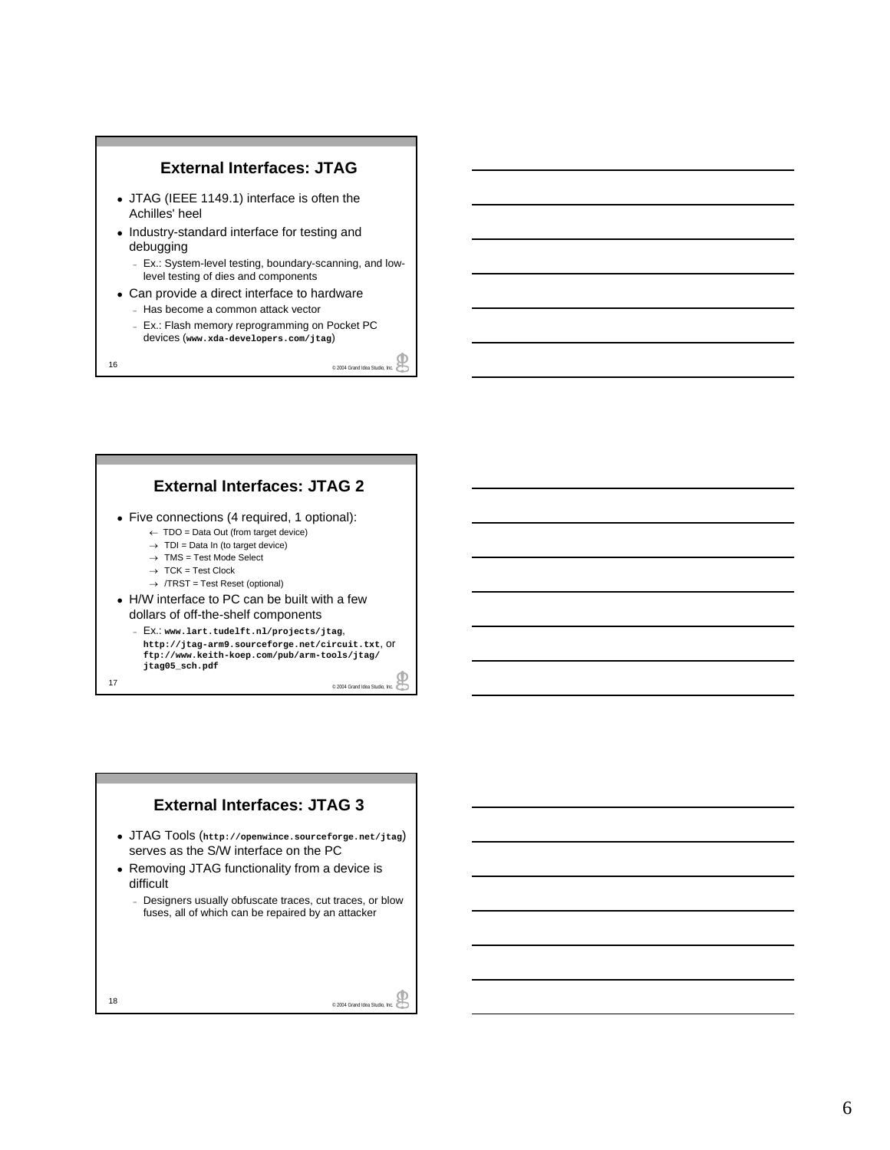

### **External Interfaces: JTAG 2**

- Five connections (4 required, 1 optional):
	- ← TDO = Data Out (from target device)
	- $\rightarrow$  TDI = Data In (to target device)
	- $\rightarrow$  TMS = Test Mode Select  $\rightarrow$  TCK = Test Clock
	- $\rightarrow$  /TRST = Test Reset (optional)
- H/W interface to PC can be built with a few dollars of off-the-shelf components
- 17 e 2004 Grand Idea Studio, Inc. – Ex.: **www.lart.tudelft.nl/projects/jtag**, **http://jtag-arm9.sourceforge.net/circuit.txt**, or **ftp://www.keith-koep.com/pub/arm-tools/jtag/ jtag05\_sch.pdf**

### **External Interfaces: JTAG 3**

- <sup>z</sup> JTAG Tools (**http://openwince.sourceforge.net/jtag**) serves as the S/W interface on the PC
- Removing JTAG functionality from a device is difficult
	- Designers usually obfuscate traces, cut traces, or blow fuses, all of which can be repaired by an attacker

₽ 18 <sup>©</sup> 2004 Grand Idea Studio, Inc.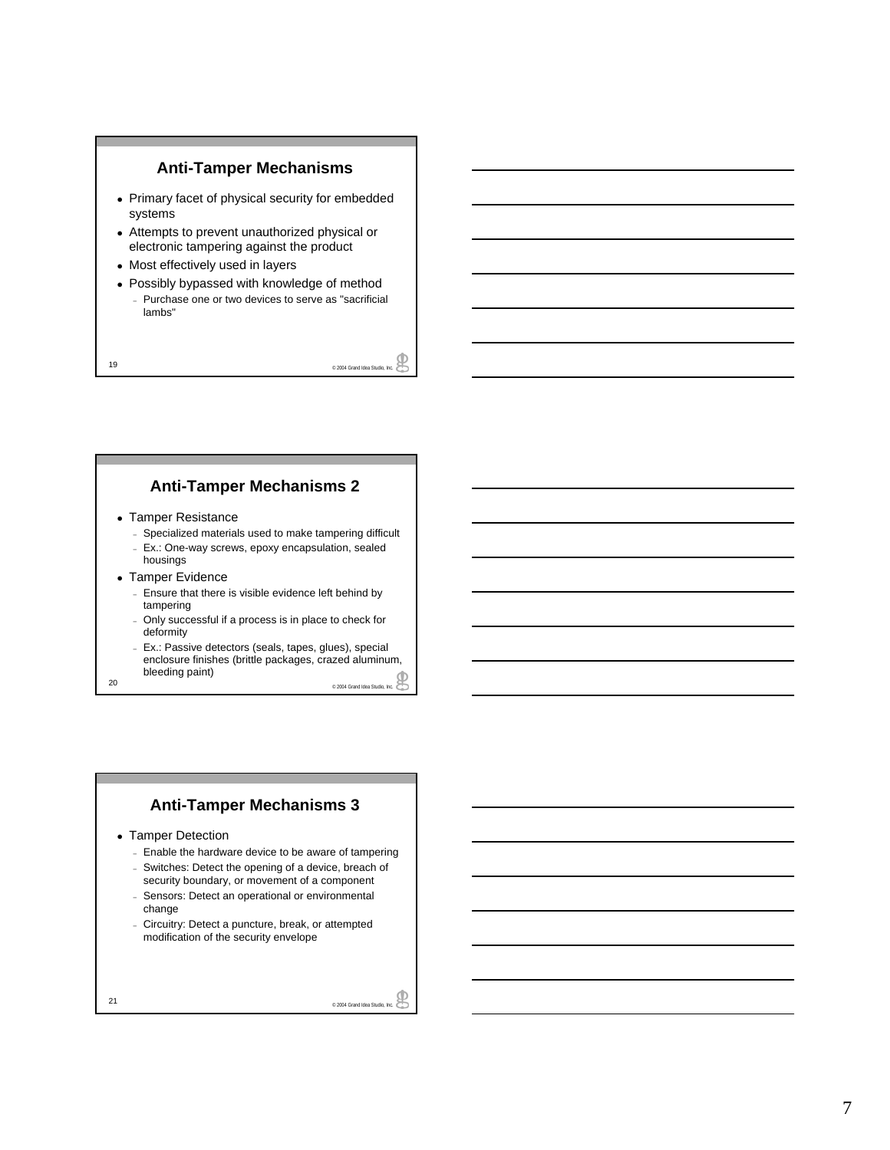

- Primary facet of physical security for embedded systems
- Attempts to prevent unauthorized physical or electronic tampering against the product
- Most effectively used in layers
- Possibly bypassed with knowledge of method
	- Purchase one or two devices to serve as "sacrificial lambs"

19 © 2004 Grand Idea Studio, Inc.

### **Anti-Tamper Mechanisms 2**

- Tamper Resistance
	- Specialized materials used to make tampering difficult
	- Ex.: One-way screws, epoxy encapsulation, sealed housings
- Tamper Evidence
	- Ensure that there is visible evidence left behind by tampering
	- Only successful if a process is in place to check for deformity
- 20  $^{\circ}$  2004 Grand Idea Studio, Inc. – Ex.: Passive detectors (seals, tapes, glues), special enclosure finishes (brittle packages, crazed aluminum, bleeding paint)

### **Anti-Tamper Mechanisms 3**

- Tamper Detection
	- Enable the hardware device to be aware of tampering
	- Switches: Detect the opening of a device, breach of security boundary, or movement of a component
	- Sensors: Detect an operational or environmental change
	- Circuitry: Detect a puncture, break, or attempted modification of the security envelope

₽ 21 © 2004 Grand Idea Studio, Inc.

₽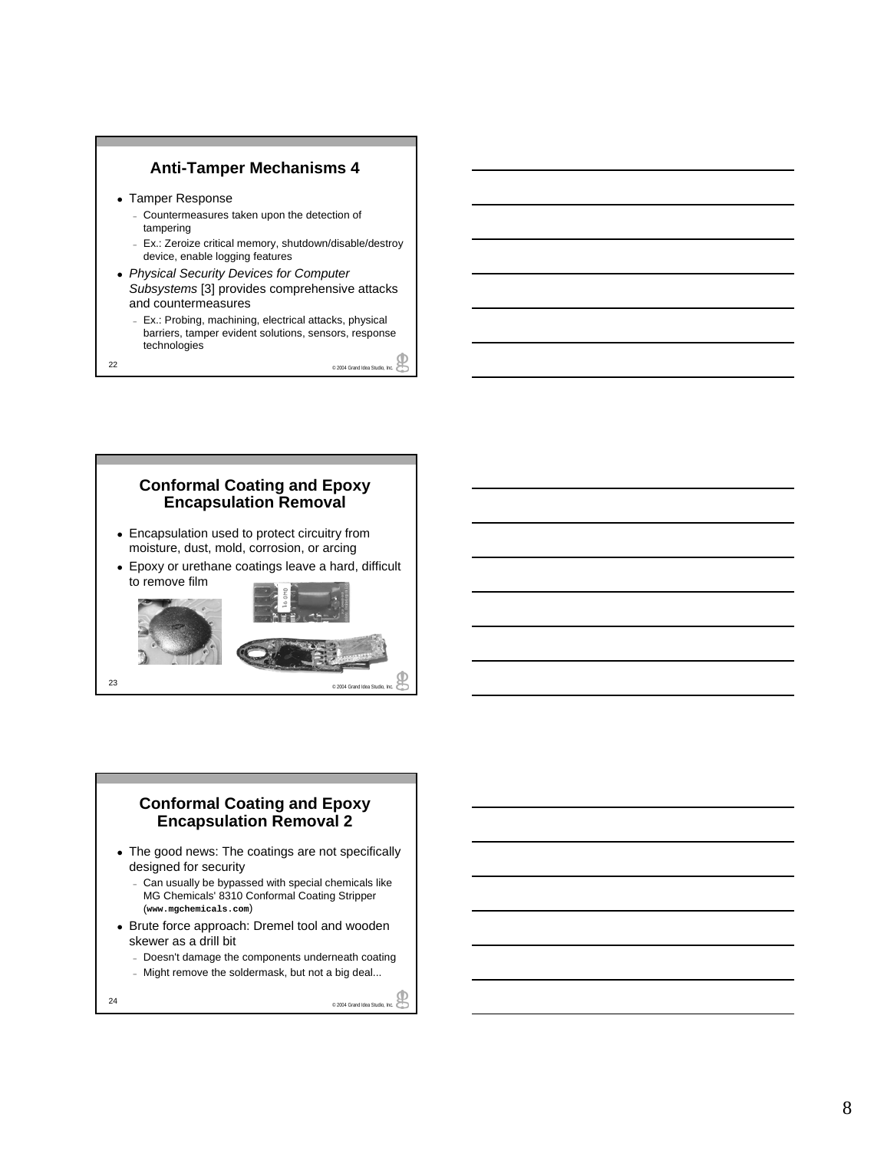

- Tamper Response
	- Countermeasures taken upon the detection of tampering
	- Ex.: Zeroize critical memory, shutdown/disable/destroy device, enable logging features
- <sup>z</sup> *Physical Security Devices for Computer Subsystems* [3] provides comprehensive attacks and countermeasures
	- Ex.: Probing, machining, electrical attacks, physical barriers, tamper evident solutions, sensors, response technologies

22 Communication Studio, Studio, Inc. 2004 Grand Idea Studio, Inc. 2004





### **Conformal Coating and Epoxy Encapsulation Removal 2**

- The good news: The coatings are not specifically designed for security
	- Can usually be bypassed with special chemicals like MG Chemicals' 8310 Conformal Coating Stripper (**www.mgchemicals.com**)
- Brute force approach: Dremel tool and wooden skewer as a drill bit
	- Doesn't damage the components underneath coating
	- Might remove the soldermask, but not a big deal...

24 Canadian Contract Contract Contract Contract Contract Contract Contract Contract Contract Contract Contract Contract Contract Contract Contract Contract Contract Contract Contract Contract Contract Contract Contract Con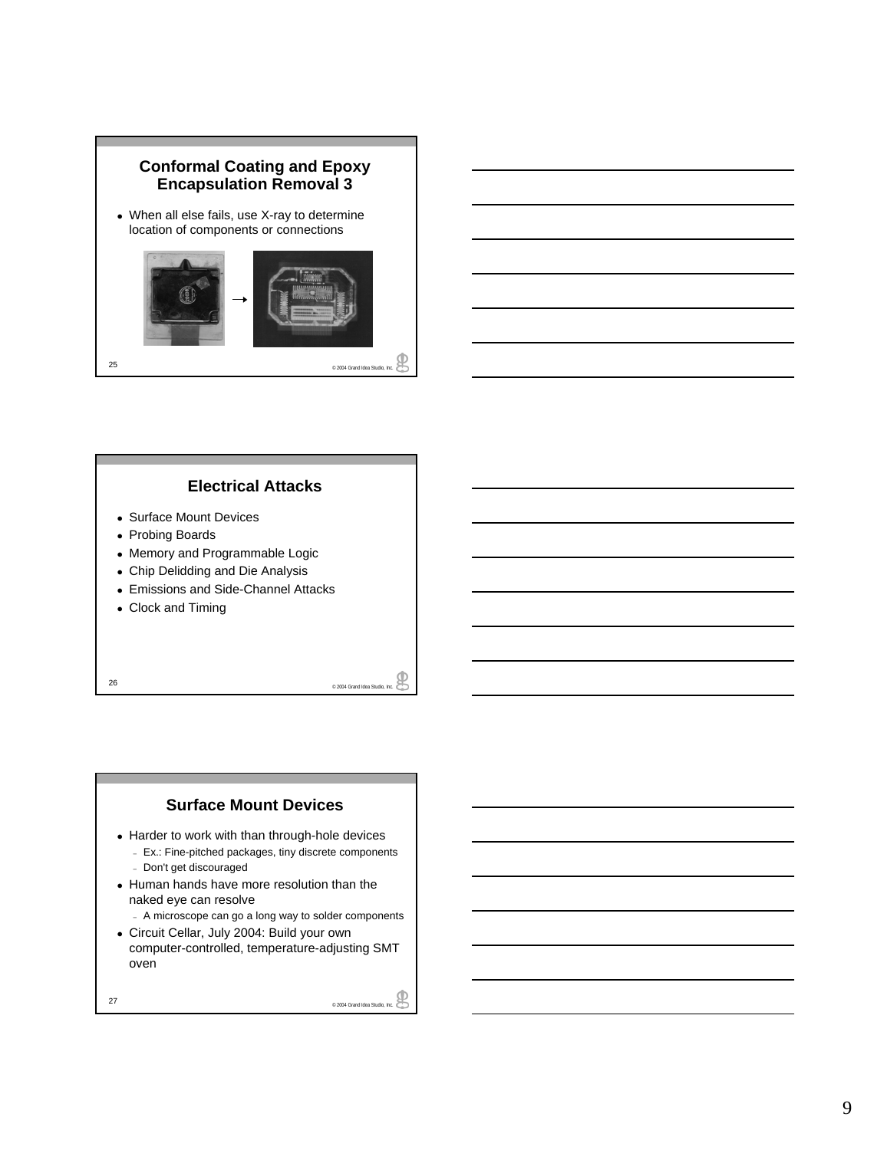



- Surface Mount Devices
- Probing Boards
- Memory and Programmable Logic
- Chip Delidding and Die Analysis
- Emissions and Side-Channel Attacks
- Clock and Timing

e 2004 Grand Idea Studio, Inc.

#### **Surface Mount Devices**

- Harder to work with than through-hole devices – Ex.: Fine-pitched packages, tiny discrete components
	- Don't get discouraged
- Human hands have more resolution than the naked eye can resolve
	- A microscope can go a long way to solder components
- Circuit Cellar, July 2004: Build your own computer-controlled, temperature-adjusting SMT oven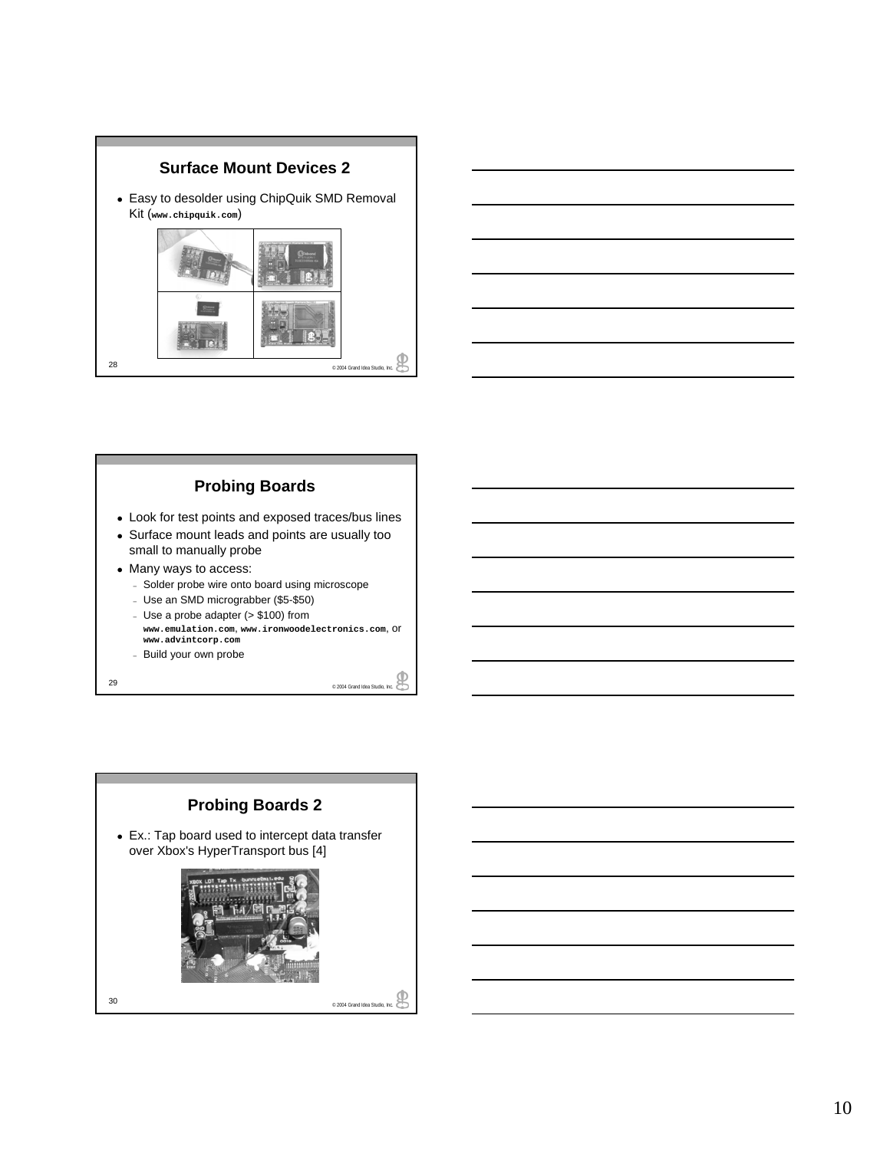



## **Probing Boards**

- Look for test points and exposed traces/bus lines
- Surface mount leads and points are usually too small to manually probe
- Many ways to access:
	- Solder probe wire onto board using microscope
	- Use an SMD micrograbber (\$5-\$50)
	- Use a probe adapter (> \$100) from
	- **www.emulation.com**, **www.ironwoodelectronics.com**, or **www.advintcorp.com**
	- Build your own probe

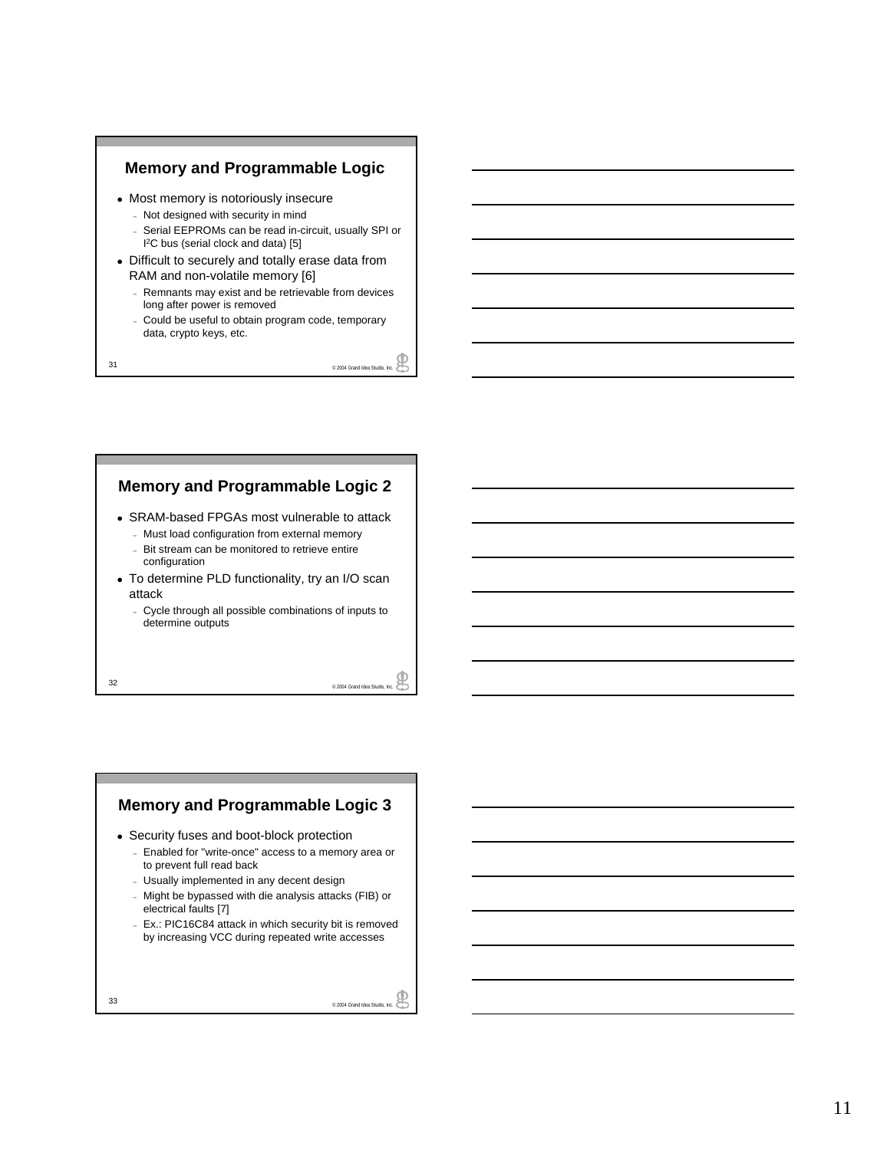

- Most memory is notoriously insecure
	- Not designed with security in mind
	- Serial EEPROMs can be read in-circuit, usually SPI or I 2C bus (serial clock and data) [5]
- Difficult to securely and totally erase data from RAM and non-volatile memory [6]
	- Remnants may exist and be retrievable from devices long after power is removed
	- Could be useful to obtain program code, temporary data, crypto keys, etc.

31 © 2004 Grand Idea Studio, Inc.

### **Memory and Programmable Logic 2**

- SRAM-based FPGAs most vulnerable to attack
	- Must load configuration from external memory – Bit stream can be monitored to retrieve entire configuration
- To determine PLD functionality, try an I/O scan attack
	- Cycle through all possible combinations of inputs to determine outputs

32 © 2004 Grand Idea Studio, Inc.

### **Memory and Programmable Logic 3**

- Security fuses and boot-block protection
	- Enabled for "write-once" access to a memory area or to prevent full read back
	- Usually implemented in any decent design
	- Might be bypassed with die analysis attacks (FIB) or electrical faults [7]
	- Ex.: PIC16C84 attack in which security bit is removed by increasing VCC during repeated write accesses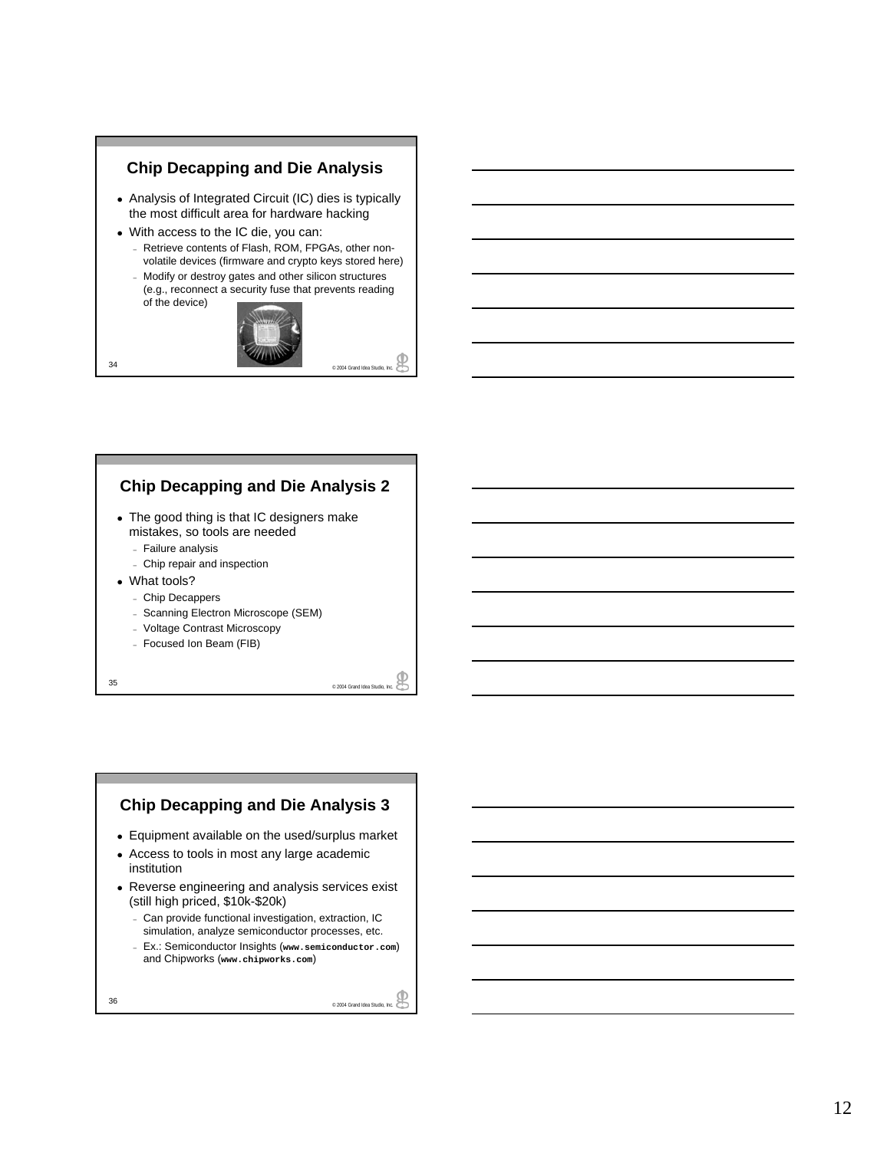

### **Chip Decapping and Die Analysis 2**

- The good thing is that IC designers make mistakes, so tools are needed
	- Failure analysis
	- Chip repair and inspection
- What tools?
	- Chip Decappers
	- Scanning Electron Microscope (SEM)
	- Voltage Contrast Microscopy
	- Focused Ion Beam (FIB)

35 © 2004 Grand Idea Studio, Inc.

### **Chip Decapping and Die Analysis 3**

- Equipment available on the used/surplus market
- Access to tools in most any large academic institution
- Reverse engineering and analysis services exist (still high priced, \$10k-\$20k)
	- Can provide functional investigation, extraction, IC simulation, analyze semiconductor processes, etc.
	- Ex.: Semiconductor Insights (**www.semiconductor.com**) and Chipworks (**www.chipworks.com**)
-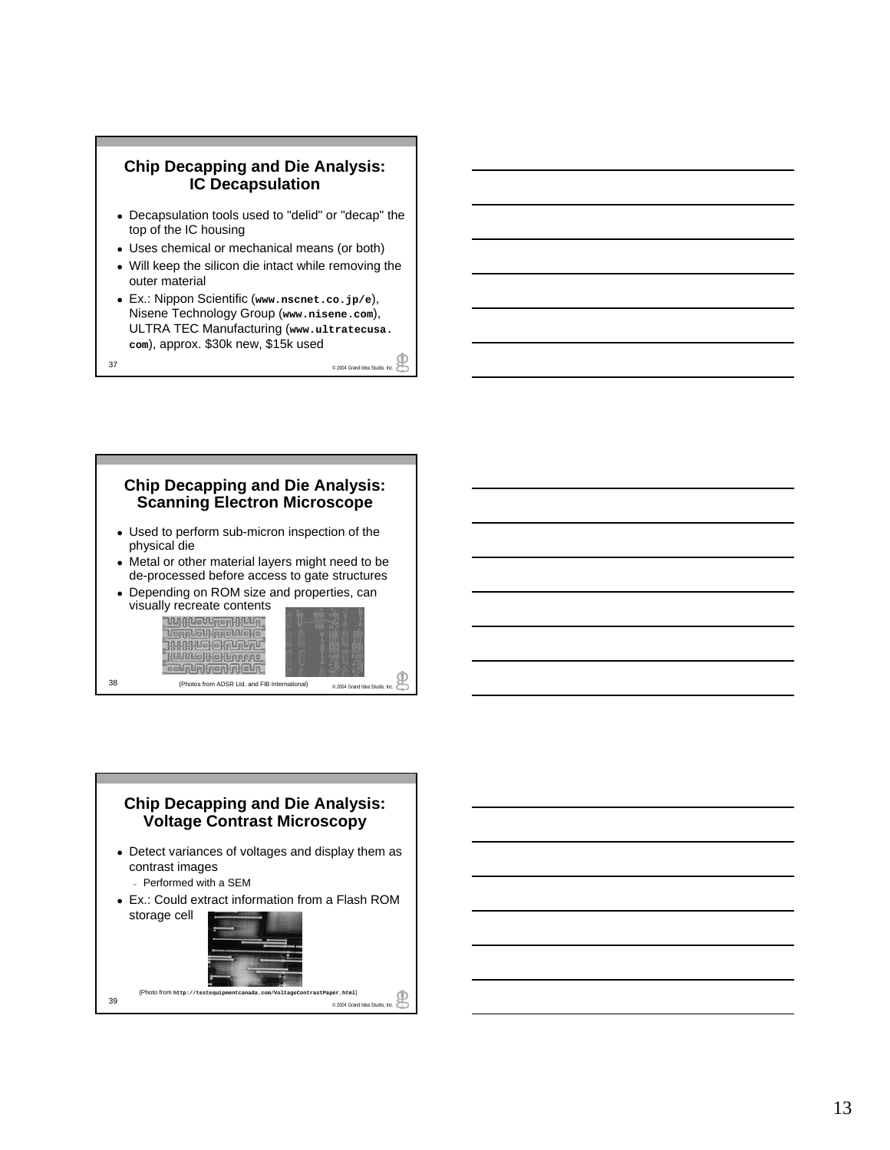



38 (Photos from ADSR Ltd. and FIB International) <br>
<sub>© 2004</sub> Grand Idea Studio, Inc.

**BOLALARDER** 



- Detect variances of voltages and display them as contrast images
	- Performed with a SEM
- Ex.: Could extract information from a Flash ROM storage cell

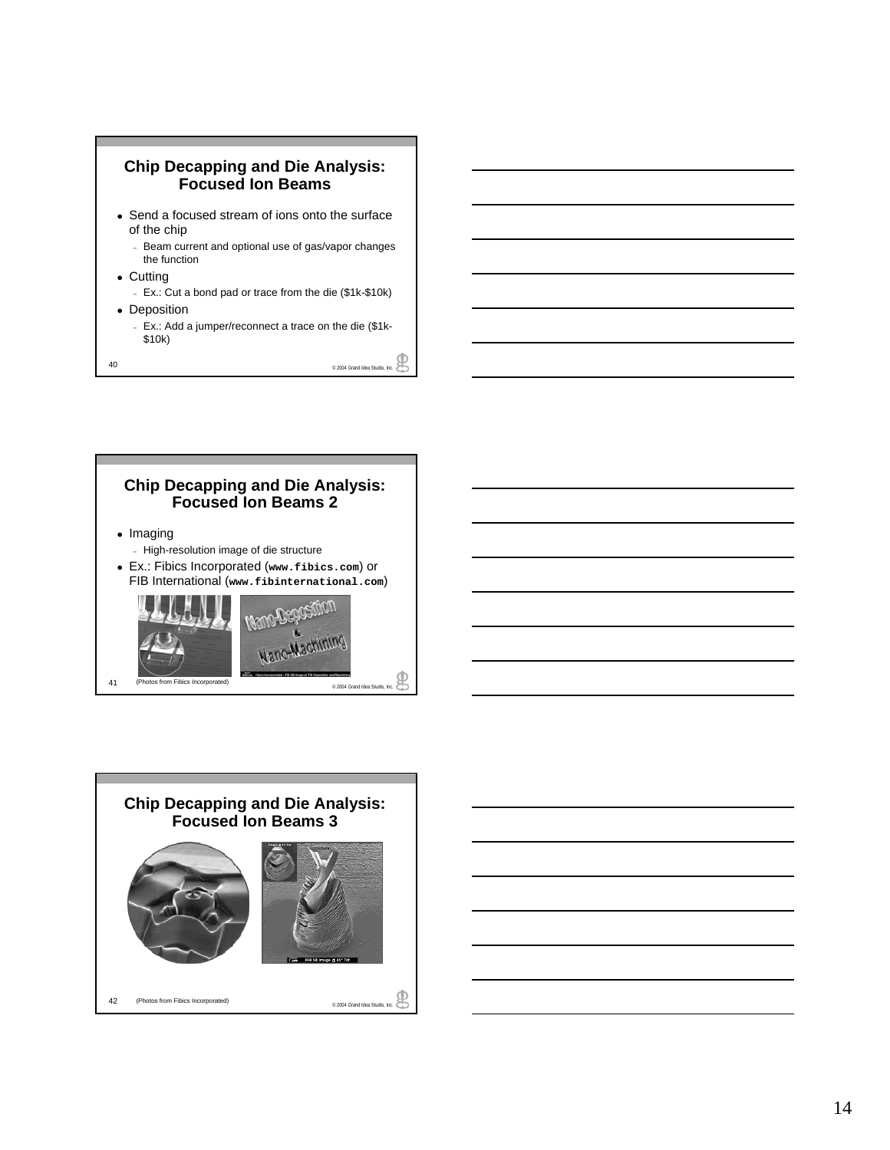



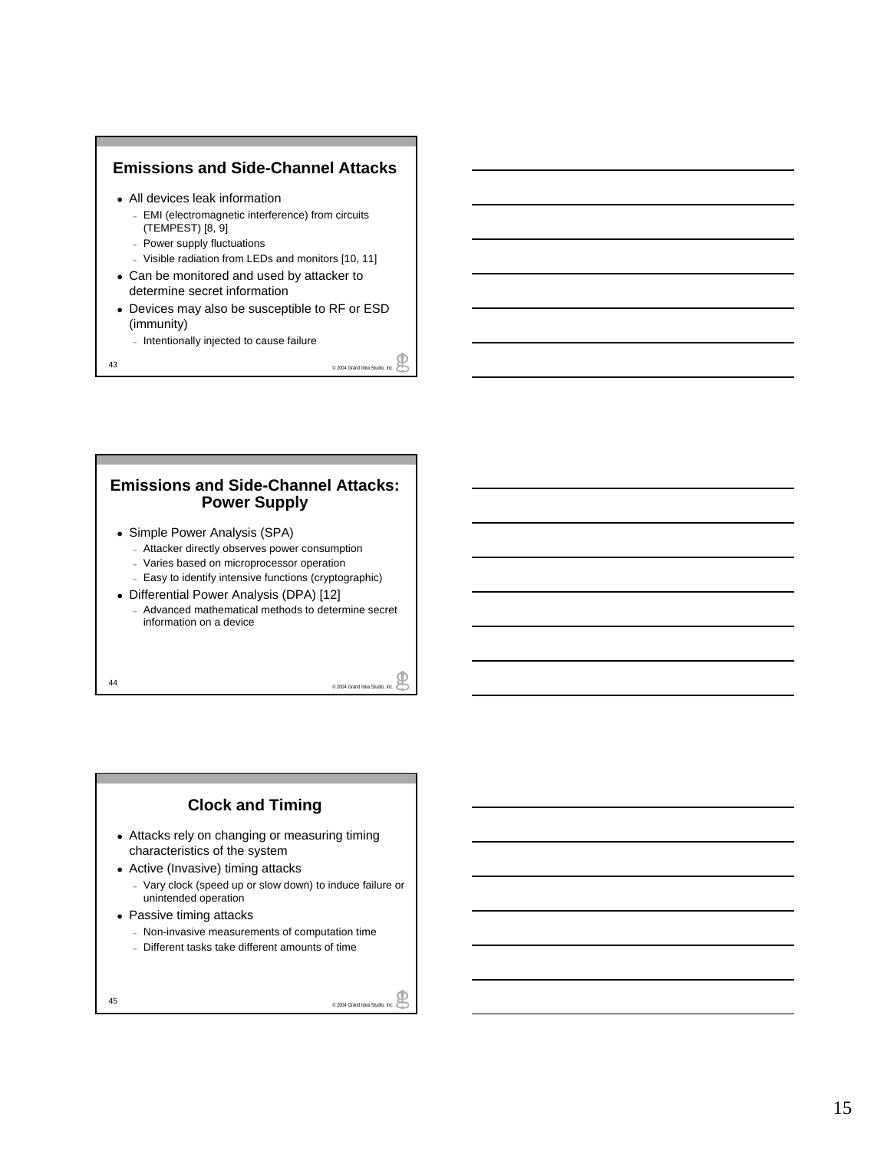### **Emissions and Side-Channel Attacks** • All devices leak information – EMI (electromagnetic interference) from circuits (TEMPEST) [8, 9] – Power supply fluctuations – Visible radiation from LEDs and monitors [10, 11] • Can be monitored and used by attacker to determine secret information • Devices may also be susceptible to RF or ESD (immunity)

– Intentionally injected to cause failure

e 2004 Grand Idea Studio, Inc.

### **Emissions and Side-Channel Attacks: Power Supply**

- Simple Power Analysis (SPA)
	- Attacker directly observes power consumption
	- Varies based on microprocessor operation
	- Easy to identify intensive functions (cryptographic)
- Differential Power Analysis (DPA) [12]
	- Advanced mathematical methods to determine secret information on a device

e 2004 Grand Idea Studio, Inc.

### **Clock and Timing**

- Attacks rely on changing or measuring timing characteristics of the system
- Active (Invasive) timing attacks
	- Vary clock (speed up or slow down) to induce failure or unintended operation
- Passive timing attacks
	- Non-invasive measurements of computation time
	- Different tasks take different amounts of time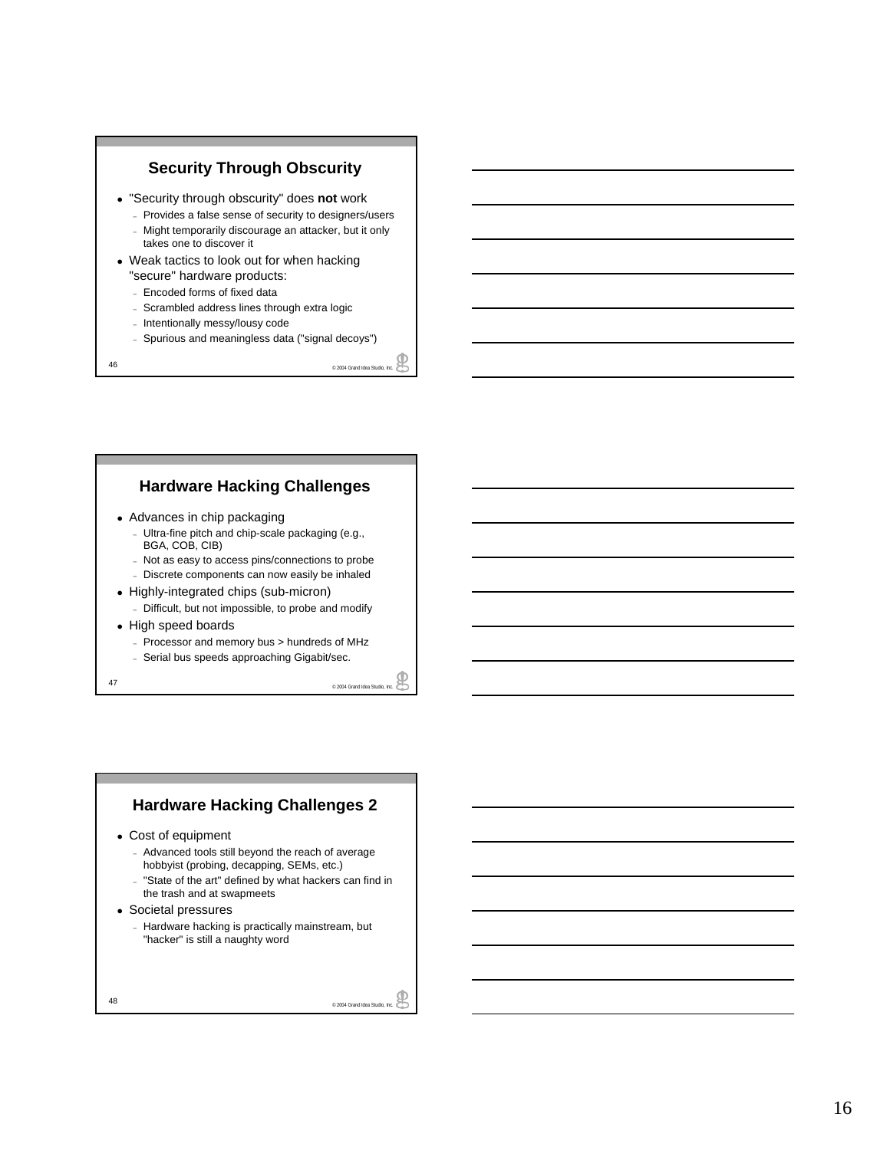

– Spurious and meaningless data ("signal decoys")

### **Hardware Hacking Challenges**

- 
- 47 Arrest all the speeds approaching Gigabit/sec.<br>
47 Arrest and Chip-Scale packaging (e.g.,<br>
BGA, COB, CIB)<br>
 Not as easy to access pins/connections to probe<br>
 Discrete components can now easily be inhaled<br>
 Highly-i BGA, COB, CIB)
	- Not as easy to access pins/connections to probe – Discrete components can now easily be inhaled
	-
- Highly-integrated chips (sub-micron)
	- Difficult, but not impossible, to probe and modify
- High speed boards
	- Processor and memory bus > hundreds of MHz
	- Serial bus speeds approaching Gigabit/sec.

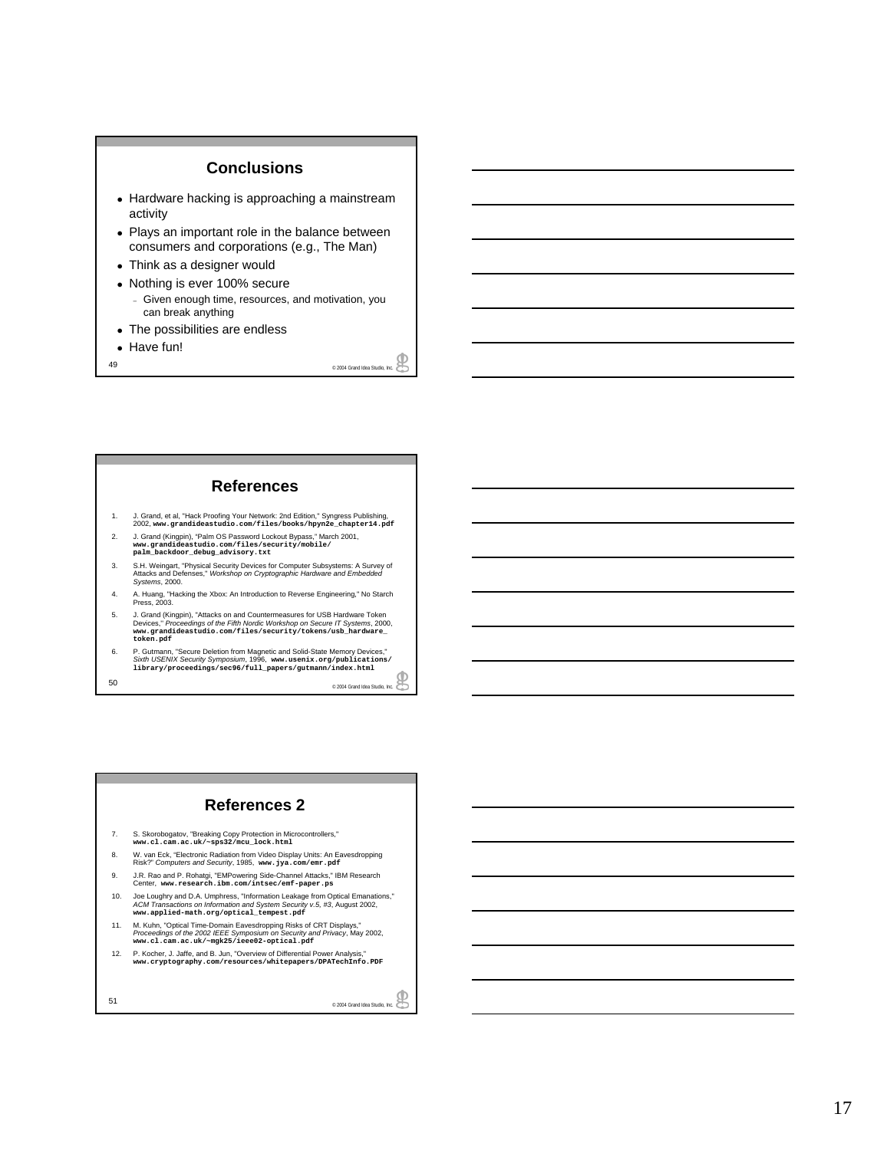### **Conclusions**

- Hardware hacking is approaching a mainstream activity
- Plays an important role in the balance between consumers and corporations (e.g., The Man)
- Think as a designer would
- Nothing is ever 100% secure – Given enough time, resources, and motivation, you can break anything
- The possibilities are endless
- Have fun!
- e 2004 Grand Idea Studio, Inc.

#### **References**

- 1. J. Grand, et al, "Hack Proofing Your Network: 2nd Edition," Syngress Publishing, 2002, **www.grandideastudio.com/files/books/hpyn2e\_chapter14.pdf**
- 2. J. Grand (Kingpin), "Palm OS Password Lockout Bypass," March 2001, **www.grandideastudio.com/files/security/mobile/ palm\_backdoor\_debug\_advisory.txt**
- 3. S.H. Weingart, "Physical Security Devices for Computer Subsystems: A Survey of Attacks and Defenses,'' *Workshop on Cryptographic Hardware and Embedded Systems*, 2000.
- 4. A. Huang, "Hacking the Xbox: An Introduction to Reverse Engineering," No Starch Press, 2003.
- 5. J. Grand (Kingpin), "Attacks on and Countermeasures for USB Hardware Token Devices,'' *Proceedings of the Fifth Nordic Workshop on Secure IT Systems*, 2000, **www.grandideastudio.com/files/security/tokens/usb\_hardware\_ token.pdf**
- 50 © 2004 Grand Idea Studio, Inc. 6. P. Gutmann, "Secure Deletion from Magnetic and Solid-State Memory Devices,"<br>Sixth USENIX Security Symposium, 1996, www. useni.x.org/publi.teat.ions/<br>1.ibrary/proceedi.ngs/sec96/full\_papers/gutmann/index.html

#### **References 2**

- 7. S. Skorobogatov, "Breaking Copy Protection in Microcontrollers," **www.cl.cam.ac.uk/~sps32/mcu\_lock.html**
- 8. W. van Eck, "Electronic Radiation from Video Display Units: An Eavesdropping Risk?" *Computers and Security*, 1985, **www.jya.com/emr.pdf**
- 9. J.R. Rao and P. Rohatgi, "EMPowering Side-Channel Attacks," IBM Research Center, **www.research.ibm.com/intsec/emf-paper.ps**
- 10. Joe Loughry and D.A. Umphress, "Information Leakage from Optical Emanations," *ACM Transactions on Information and System Security v.5, #3*, August 2002, **www.applied-math.org/optical\_tempest.pdf**
- 11. M. Kuhn, "Optical Time-Domain Eavesdropping Risks of CRT Displays," *Proceedings of the 2002 IEEE Symposium on Security and Privacy*, May 2002, **www.cl.cam.ac.uk/~mgk25/ieee02-optical.pdf**
- 12. P. Kocher, J. Jaffe, and B. Jun, "Overview of Differential Power Analysis," **www.cryptography.com/resources/whitepapers/DPATechInfo.PDF**
- 51 © 2004 Grand Idea Studio, Inc.

17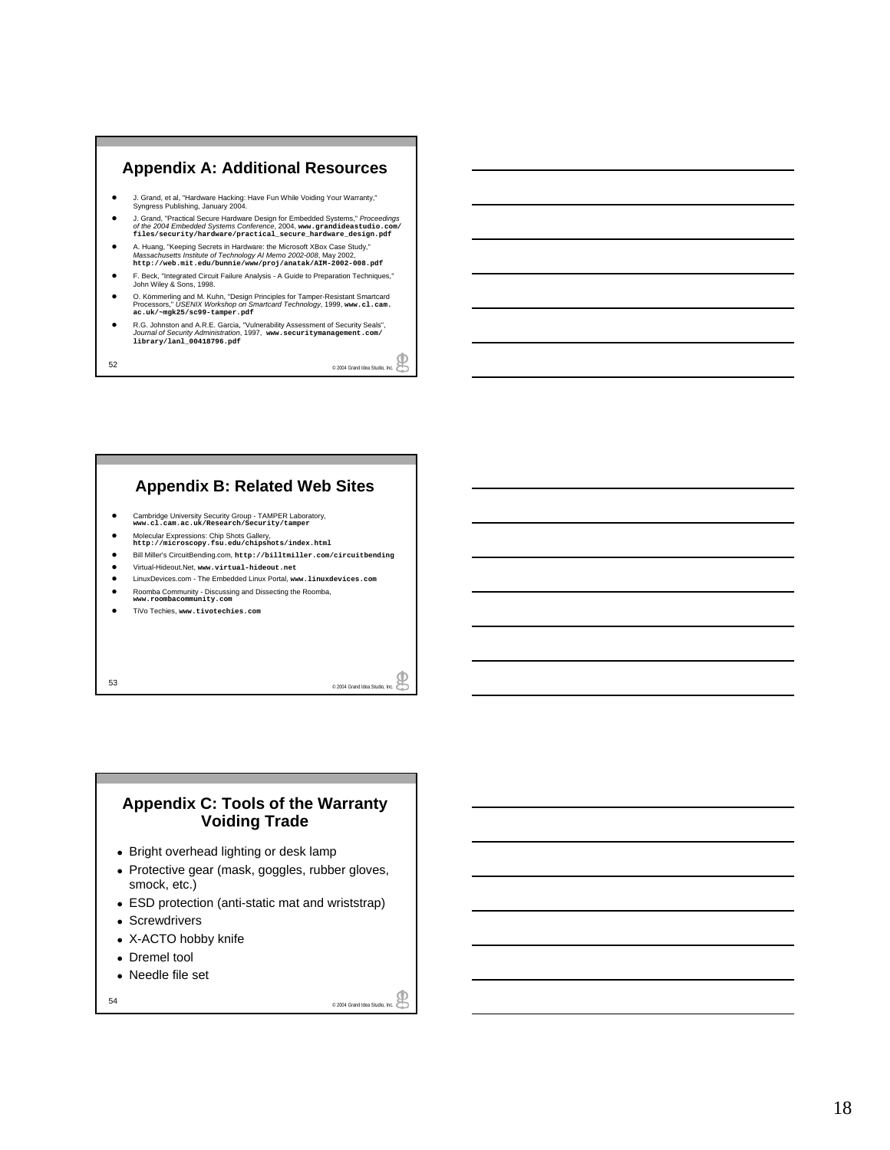#### **Appendix A: Additional Resources**

- J. Grand, et al, "Hardware Hacking: Have Fun While Voiding Your Warranty,"<br>Syngress Publishing, January 2004.
- J. Grand, "Practical Secure Hardware Design for Embedded Systems," *Proceedings*<br>of *the 2004 Embedded Systems Conference, 2*004, www.grandideastudio.com/<br>files/security/hardware/practical\_secure\_hardware\_design.pdf
- z A. Huang, "Keeping Secrets in Hardware: the Microsoft XBox Case Study," *Massachusetts Institute of Technology AI Memo 2002-008*, May 2002, **http://web.mit.edu/bunnie/www/proj/anatak/AIM-2002-008.pdf**
- z F. Beck, "Integrated Circuit Failure Analysis A Guide to Preparation Techniques," John Wiley & Sons, 1998.
- O. Kömmerling and M. Kuhn, "Design Principles for Tamper-Resistant Smartcard<br>Processors," *USENIX Workshop on Smartcard Technology*, 1999, www.c1.cam.<br>ac.uk/~mgk25/sc99-tamper.pdf
- z R.G. Johnston and A.R.E. Garcia, "Vulnerability Assessment of Security Seals", *Journal of Security Administration*, 1997, **www.securitymanagement.com/ library/lanl\_00418796.pdf**

52 © 2004 Grand Idea Studio, Inc.

### **Appendix B: Related Web Sites**

- **Cambridge University Security Group TAMPER Laboratory, www.cl.cam.ac.uk/Research/Security/tamper**
- 
- z Molecular Expressions: Chip Shots Gallery, **http://microscopy.fsu.edu/chipshots/index.html**
- z Bill Miller's CircuitBending.com, **http://billtmiller.com/circuitbending**
- z Virtual-Hideout.Net, **www.virtual-hideout.net** z LinuxDevices.com - The Embedded Linux Portal, **www.linuxdevices.com**
- 
- **•** Roomba Community Discussing and Dissecting the Roomba, www.roombacommunity.com
- z TiVo Techies, **www.tivotechies.com**

 $\overline{\phantom{a}}$   $\overline{\phantom{a}}$   $\overline{\phantom{a}}$   $\overline{\phantom{a}}$   $\overline{\phantom{a}}$   $\overline{\phantom{a}}$   $\overline{\phantom{a}}$   $\overline{\phantom{a}}$   $\overline{\phantom{a}}$   $\overline{\phantom{a}}$   $\overline{\phantom{a}}$   $\overline{\phantom{a}}$   $\overline{\phantom{a}}$   $\overline{\phantom{a}}$   $\overline{\phantom{a}}$   $\overline{\phantom{a}}$   $\overline{\phantom{a}}$   $\overline{\phantom{a}}$   $\overline{\$ 

#### **Appendix C: Tools of the Warranty Voiding Trade**

- Bright overhead lighting or desk lamp
- Protective gear (mask, goggles, rubber gloves, smock, etc.)
- ESD protection (anti-static mat and wriststrap)
- Screwdrivers
- X-ACTO hobby knife
- Dremel tool
- Needle file set

e 2004 Grand Idea Studio, Inc.  $\bigotimes$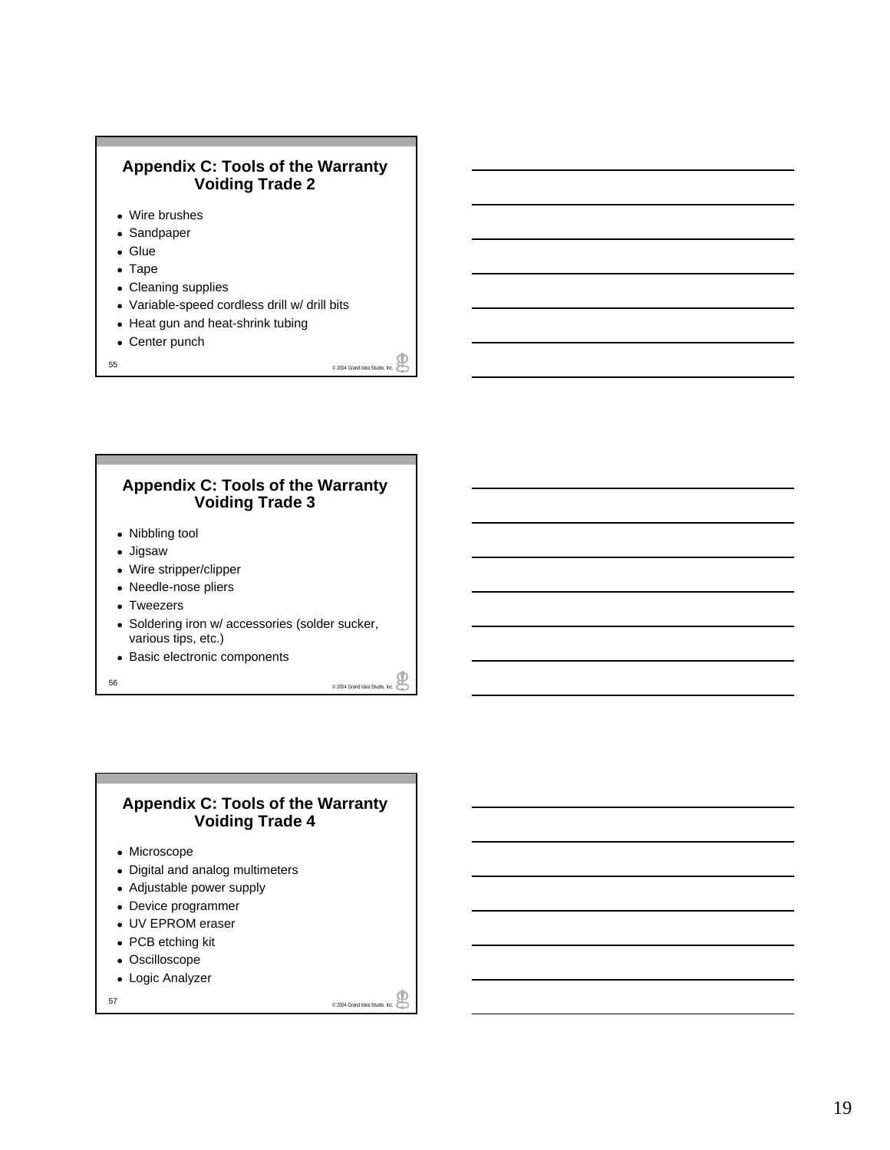### **Appendix C: Tools of the Warranty Voiding Trade 2**

- Wire brushes
- Sandpaper
- Glue
- $\bullet$  Tape
- Cleaning supplies
- Variable-speed cordless drill w/ drill bits
- Heat gun and heat-shrink tubing
- $\bullet$  Center punch
- 55 © 2004 Grand Idea Studio, Inc.

### **Appendix C: Tools of the Warranty Voiding Trade 3**

- Nibbling tool
- Jigsaw
- Wire stripper/clipper
- Needle-nose pliers
- Tweezers
- Soldering iron w/ accessories (solder sucker, various tips, etc.)
- Basic electronic components

56 © 2004 Grand Idea Studio, Inc.

### **Appendix C: Tools of the Warranty Voiding Trade 4**

- Microscope
- Digital and analog multimeters
- Adjustable power supply
- Device programmer
- UV EPROM eraser
- PCB etching kit
- $\bullet$  Oscilloscope
- Logic Analyzer

₽ 57 © 2004 Grand Idea Studio, Inc.

奥